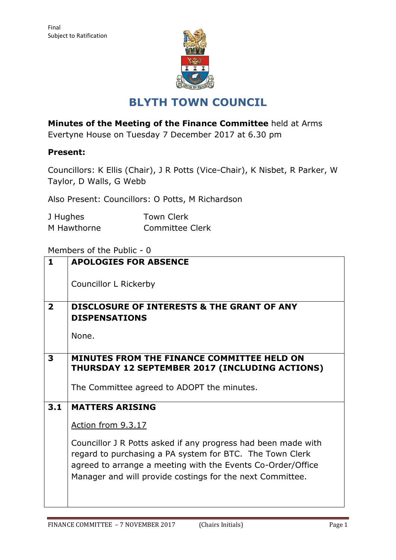

# **BLYTH TOWN COUNCIL**

**Minutes of the Meeting of the Finance Committee** held at Arms

Evertyne House on Tuesday 7 December 2017 at 6.30 pm

## **Present:**

Councillors: K Ellis (Chair), J R Potts (Vice-Chair), K Nisbet, R Parker, W Taylor, D Walls, G Webb

Also Present: Councillors: O Potts, M Richardson

| J Hughes    | <b>Town Clerk</b> |  |
|-------------|-------------------|--|
| M Hawthorne | Committee Clerk   |  |

### Members of the Public - 0

| $\mathbf{1}$   | <b>APOLOGIES FOR ABSENCE</b>                                  |  |  |  |  |  |
|----------------|---------------------------------------------------------------|--|--|--|--|--|
|                |                                                               |  |  |  |  |  |
|                | Councillor L Rickerby                                         |  |  |  |  |  |
|                |                                                               |  |  |  |  |  |
| $\overline{2}$ | <b>DISCLOSURE OF INTERESTS &amp; THE GRANT OF ANY</b>         |  |  |  |  |  |
|                | <b>DISPENSATIONS</b>                                          |  |  |  |  |  |
|                |                                                               |  |  |  |  |  |
|                | None.                                                         |  |  |  |  |  |
|                |                                                               |  |  |  |  |  |
| 3              | MINUTES FROM THE FINANCE COMMITTEE HELD ON                    |  |  |  |  |  |
|                | THURSDAY 12 SEPTEMBER 2017 (INCLUDING ACTIONS)                |  |  |  |  |  |
|                | The Committee agreed to ADOPT the minutes.                    |  |  |  |  |  |
|                |                                                               |  |  |  |  |  |
| 3.1            | <b>MATTERS ARISING</b>                                        |  |  |  |  |  |
|                | <u>Action from 9.3.17</u>                                     |  |  |  |  |  |
|                |                                                               |  |  |  |  |  |
|                | Councillor J R Potts asked if any progress had been made with |  |  |  |  |  |
|                | regard to purchasing a PA system for BTC. The Town Clerk      |  |  |  |  |  |
|                | agreed to arrange a meeting with the Events Co-Order/Office   |  |  |  |  |  |
|                | Manager and will provide costings for the next Committee.     |  |  |  |  |  |
|                |                                                               |  |  |  |  |  |
|                |                                                               |  |  |  |  |  |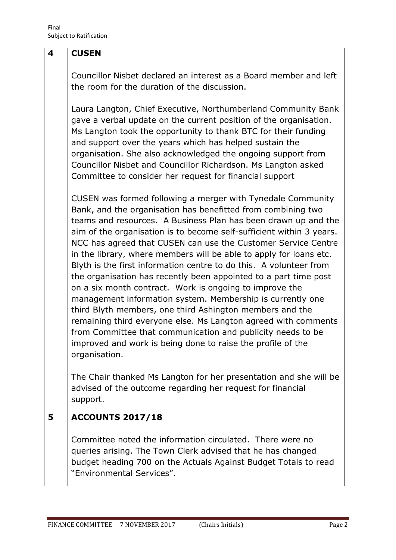#### **4 CUSEN**

Councillor Nisbet declared an interest as a Board member and left the room for the duration of the discussion.

Laura Langton, Chief Executive, Northumberland Community Bank gave a verbal update on the current position of the organisation. Ms Langton took the opportunity to thank BTC for their funding and support over the years which has helped sustain the organisation. She also acknowledged the ongoing support from Councillor Nisbet and Councillor Richardson. Ms Langton asked Committee to consider her request for financial support

CUSEN was formed following a merger with Tynedale Community Bank, and the organisation has benefitted from combining two teams and resources. A Business Plan has been drawn up and the aim of the organisation is to become self-sufficient within 3 years. NCC has agreed that CUSEN can use the Customer Service Centre in the library, where members will be able to apply for loans etc. Blyth is the first information centre to do this. A volunteer from the organisation has recently been appointed to a part time post on a six month contract. Work is ongoing to improve the management information system. Membership is currently one third Blyth members, one third Ashington members and the remaining third everyone else. Ms Langton agreed with comments from Committee that communication and publicity needs to be improved and work is being done to raise the profile of the organisation.

The Chair thanked Ms Langton for her presentation and she will be advised of the outcome regarding her request for financial support.

## **5 ACCOUNTS 2017/18**

Committee noted the information circulated. There were no queries arising. The Town Clerk advised that he has changed budget heading 700 on the Actuals Against Budget Totals to read "Environmental Services".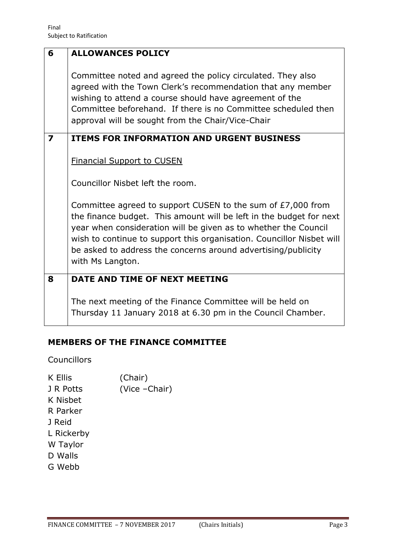| 6                       | <b>ALLOWANCES POLICY</b>                                                                                                                                                                                                                                                                                                                                            |  |  |  |  |
|-------------------------|---------------------------------------------------------------------------------------------------------------------------------------------------------------------------------------------------------------------------------------------------------------------------------------------------------------------------------------------------------------------|--|--|--|--|
|                         | Committee noted and agreed the policy circulated. They also<br>agreed with the Town Clerk's recommendation that any member<br>wishing to attend a course should have agreement of the<br>Committee beforehand. If there is no Committee scheduled then<br>approval will be sought from the Chair/Vice-Chair                                                         |  |  |  |  |
| $\overline{\mathbf{z}}$ | <b>ITEMS FOR INFORMATION AND URGENT BUSINESS</b>                                                                                                                                                                                                                                                                                                                    |  |  |  |  |
|                         | <b>Financial Support to CUSEN</b>                                                                                                                                                                                                                                                                                                                                   |  |  |  |  |
|                         | Councillor Nisbet left the room.                                                                                                                                                                                                                                                                                                                                    |  |  |  |  |
|                         | Committee agreed to support CUSEN to the sum of £7,000 from<br>the finance budget. This amount will be left in the budget for next<br>year when consideration will be given as to whether the Council<br>wish to continue to support this organisation. Councillor Nisbet will<br>be asked to address the concerns around advertising/publicity<br>with Ms Langton. |  |  |  |  |
| 8                       | DATE AND TIME OF NEXT MEETING                                                                                                                                                                                                                                                                                                                                       |  |  |  |  |
|                         | The next meeting of the Finance Committee will be held on<br>Thursday 11 January 2018 at 6.30 pm in the Council Chamber.                                                                                                                                                                                                                                            |  |  |  |  |

# **MEMBERS OF THE FINANCE COMMITTEE**

Councillors

| K Ellis    | (Chair)        |
|------------|----------------|
| J R Potts  | (Vice - Chair) |
| K Nisbet   |                |
| R Parker   |                |
| J Reid     |                |
| L Rickerby |                |
| W Taylor   |                |
| D Walls    |                |
| G Webb     |                |
|            |                |